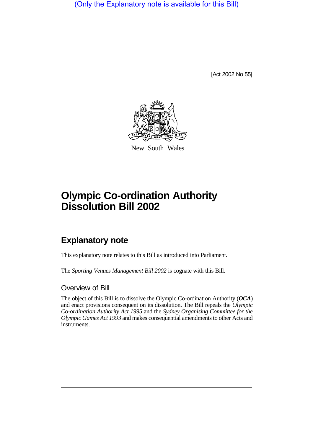(Only the Explanatory note is available for this Bill)

[Act 2002 No 55]



New South Wales

## **Olympic Co-ordination Authority Dissolution Bill 2002**

## **Explanatory note**

This explanatory note relates to this Bill as introduced into Parliament.

The *Sporting Venues Management Bill 2002* is cognate with this Bill.

## Overview of Bill

The object of this Bill is to dissolve the Olympic Co-ordination Authority (*OCA*) and enact provisions consequent on its dissolution. The Bill repeals the *Olympic Co-ordination Authority Act 1995* and the *Sydney Organising Committee for the Olympic Games Act 1993* and makes consequential amendments to other Acts and instruments.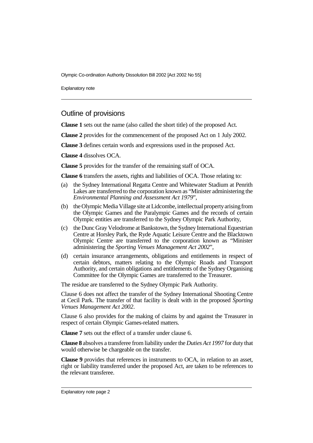Olympic Co-ordination Authority Dissolution Bill 2002 [Act 2002 No 55]

Explanatory note

## Outline of provisions

**Clause 1** sets out the name (also called the short title) of the proposed Act.

**Clause 2** provides for the commencement of the proposed Act on 1 July 2002.

**Clause 3** defines certain words and expressions used in the proposed Act.

**Clause 4** dissolves OCA.

**Clause 5** provides for the transfer of the remaining staff of OCA.

**Clause 6** transfers the assets, rights and liabilities of OCA. Those relating to:

- (a) the Sydney International Regatta Centre and Whitewater Stadium at Penrith Lakes are transferred to the corporation known as "Minister administering the *Environmental Planning and Assessment Act 1979*",
- (b) the Olympic Media Village site at Lidcombe, intellectual propertyarisingfrom the Olympic Games and the Paralympic Games and the records of certain Olympic entities are transferred to the Sydney Olympic Park Authority,
- (c) the Dunc Gray Velodrome at Bankstown, the Sydney International Equestrian Centre at Horsley Park, the Ryde Aquatic Leisure Centre and the Blacktown Olympic Centre are transferred to the corporation known as "Minister administering the *Sporting Venues Management Act 2002*",
- (d) certain insurance arrangements, obligations and entitlements in respect of certain debtors, matters relating to the Olympic Roads and Transport Authority, and certain obligations and entitlements of the Sydney Organising Committee for the Olympic Games are transferred to the Treasurer.

The residue are transferred to the Sydney Olympic Park Authority.

Clause 6 does not affect the transfer of the Sydney International Shooting Centre at Cecil Park. The transfer of that facility is dealt with in the proposed *Sporting Venues Management Act 2002*.

Clause 6 also provides for the making of claims by and against the Treasurer in respect of certain Olympic Games-related matters.

**Clause 7** sets out the effect of a transfer under clause 6.

**Clause 8** absolves a transferee from liability under the *Duties Act 1997* for duty that would otherwise be chargeable on the transfer.

**Clause 9** provides that references in instruments to OCA, in relation to an asset, right or liability transferred under the proposed Act, are taken to be references to the relevant transferee.

Explanatory note page 2